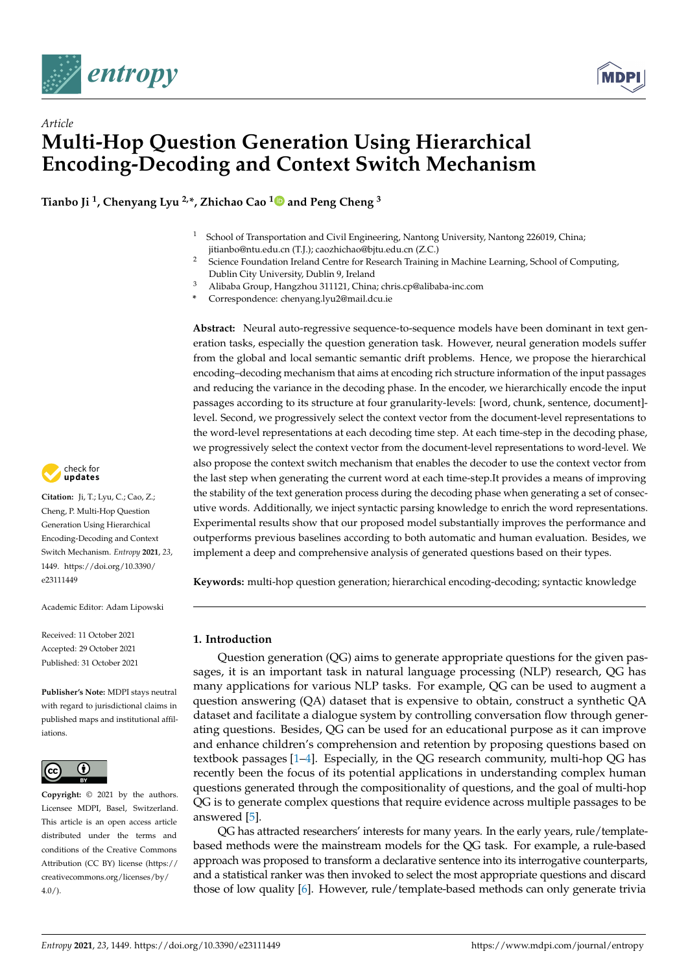



# *Article* **Multi-Hop Question Generation Using Hierarchical Encoding-Decoding and Context Switch Mechanism**

**Tianbo Ji <sup>1</sup> , Chenyang Lyu 2,\*, Zhichao Cao [1](https://orcid.org/0000-0002-7815-3889) and Peng Cheng <sup>3</sup>**

- <sup>1</sup> School of Transportation and Civil Engineering, Nantong University, Nantong 226019, China; jitianbo@ntu.edu.cn (T.J.); caozhichao@bjtu.edu.cn (Z.C.)
- <sup>2</sup> Science Foundation Ireland Centre for Research Training in Machine Learning, School of Computing, Dublin City University, Dublin 9, Ireland
- <sup>3</sup> Alibaba Group, Hangzhou 311121, China; chris.cp@alibaba-inc.com
- **\*** Correspondence: chenyang.lyu2@mail.dcu.ie

**Abstract:** Neural auto-regressive sequence-to-sequence models have been dominant in text generation tasks, especially the question generation task. However, neural generation models suffer from the global and local semantic semantic drift problems. Hence, we propose the hierarchical encoding–decoding mechanism that aims at encoding rich structure information of the input passages and reducing the variance in the decoding phase. In the encoder, we hierarchically encode the input passages according to its structure at four granularity-levels: [word, chunk, sentence, document] level. Second, we progressively select the context vector from the document-level representations to the word-level representations at each decoding time step. At each time-step in the decoding phase, we progressively select the context vector from the document-level representations to word-level. We also propose the context switch mechanism that enables the decoder to use the context vector from the last step when generating the current word at each time-step.It provides a means of improving the stability of the text generation process during the decoding phase when generating a set of consecutive words. Additionally, we inject syntactic parsing knowledge to enrich the word representations. Experimental results show that our proposed model substantially improves the performance and outperforms previous baselines according to both automatic and human evaluation. Besides, we implement a deep and comprehensive analysis of generated questions based on their types.

**Keywords:** multi-hop question generation; hierarchical encoding-decoding; syntactic knowledge

# **1. Introduction**

Question generation (QG) aims to generate appropriate questions for the given passages, it is an important task in natural language processing (NLP) research, QG has many applications for various NLP tasks. For example, QG can be used to augment a question answering (QA) dataset that is expensive to obtain, construct a synthetic QA dataset and facilitate a dialogue system by controlling conversation flow through generating questions. Besides, QG can be used for an educational purpose as it can improve and enhance children's comprehension and retention by proposing questions based on textbook passages [\[1](#page-12-0)[–4\]](#page-12-1). Especially, in the QG research community, multi-hop QG has recently been the focus of its potential applications in understanding complex human questions generated through the compositionality of questions, and the goal of multi-hop QG is to generate complex questions that require evidence across multiple passages to be answered [\[5\]](#page-12-2).

QG has attracted researchers' interests for many years. In the early years, rule/templatebased methods were the mainstream models for the QG task. For example, a rule-based approach was proposed to transform a declarative sentence into its interrogative counterparts, and a statistical ranker was then invoked to select the most appropriate questions and discard those of low quality [\[6\]](#page-12-3). However, rule/template-based methods can only generate trivia



**Citation:** Ji, T.; Lyu, C.; Cao, Z.; Cheng, P. Multi-Hop Question Generation Using Hierarchical Encoding-Decoding and Context Switch Mechanism. *Entropy* **2021**, *23*, 1449. [https://doi.org/10.3390/](https://doi.org/10.3390/e23111449) [e23111449](https://doi.org/10.3390/e23111449)

Academic Editor: Adam Lipowski

Received: 11 October 2021 Accepted: 29 October 2021 Published: 31 October 2021

**Publisher's Note:** MDPI stays neutral with regard to jurisdictional claims in published maps and institutional affiliations.



**Copyright:** © 2021 by the authors. Licensee MDPI, Basel, Switzerland. This article is an open access article distributed under the terms and conditions of the Creative Commons Attribution (CC BY) license (https:/[/](https://creativecommons.org/licenses/by/4.0/) [creativecommons.org/licenses/by/](https://creativecommons.org/licenses/by/4.0/)  $4.0/$ ).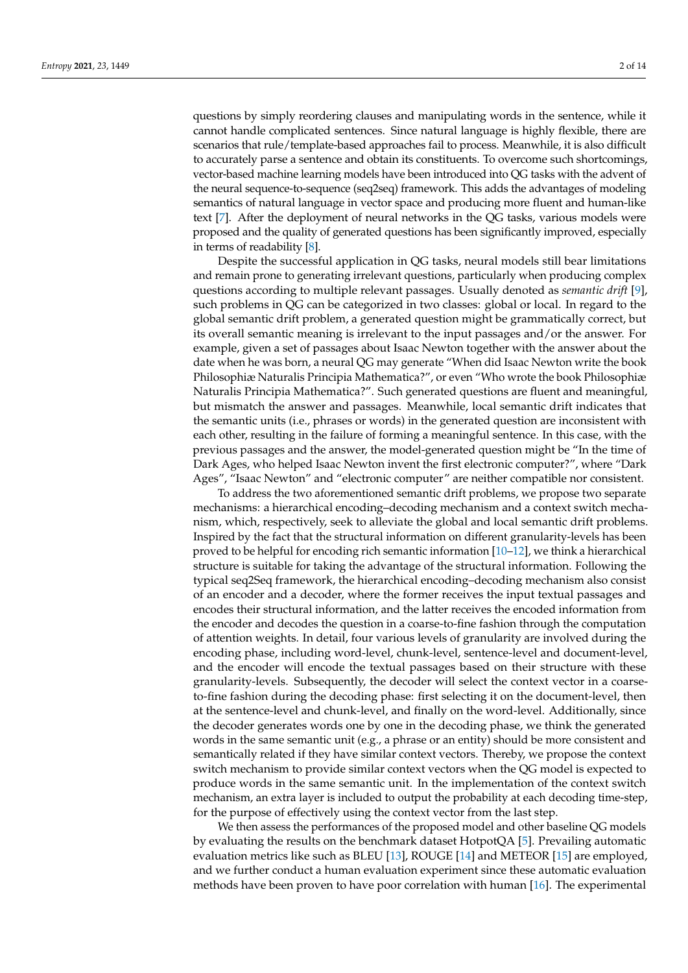questions by simply reordering clauses and manipulating words in the sentence, while it cannot handle complicated sentences. Since natural language is highly flexible, there are scenarios that rule/template-based approaches fail to process. Meanwhile, it is also difficult to accurately parse a sentence and obtain its constituents. To overcome such shortcomings, vector-based machine learning models have been introduced into QG tasks with the advent of the neural sequence-to-sequence (seq2seq) framework. This adds the advantages of modeling semantics of natural language in vector space and producing more fluent and human-like text [\[7\]](#page-12-4). After the deployment of neural networks in the QG tasks, various models were proposed and the quality of generated questions has been significantly improved, especially in terms of readability [\[8\]](#page-12-5).

Despite the successful application in QG tasks, neural models still bear limitations and remain prone to generating irrelevant questions, particularly when producing complex questions according to multiple relevant passages. Usually denoted as *semantic drift* [\[9\]](#page-12-6), such problems in QG can be categorized in two classes: global or local. In regard to the global semantic drift problem, a generated question might be grammatically correct, but its overall semantic meaning is irrelevant to the input passages and/or the answer. For example, given a set of passages about Isaac Newton together with the answer about the date when he was born, a neural QG may generate "When did Isaac Newton write the book Philosophiæ Naturalis Principia Mathematica?", or even "Who wrote the book Philosophiæ Naturalis Principia Mathematica?". Such generated questions are fluent and meaningful, but mismatch the answer and passages. Meanwhile, local semantic drift indicates that the semantic units (i.e., phrases or words) in the generated question are inconsistent with each other, resulting in the failure of forming a meaningful sentence. In this case, with the previous passages and the answer, the model-generated question might be "In the time of Dark Ages, who helped Isaac Newton invent the first electronic computer?", where "Dark Ages", "Isaac Newton" and "electronic computer" are neither compatible nor consistent.

To address the two aforementioned semantic drift problems, we propose two separate mechanisms: a hierarchical encoding–decoding mechanism and a context switch mechanism, which, respectively, seek to alleviate the global and local semantic drift problems. Inspired by the fact that the structural information on different granularity-levels has been proved to be helpful for encoding rich semantic information [\[10–](#page-12-7)[12\]](#page-12-8), we think a hierarchical structure is suitable for taking the advantage of the structural information. Following the typical seq2Seq framework, the hierarchical encoding–decoding mechanism also consist of an encoder and a decoder, where the former receives the input textual passages and encodes their structural information, and the latter receives the encoded information from the encoder and decodes the question in a coarse-to-fine fashion through the computation of attention weights. In detail, four various levels of granularity are involved during the encoding phase, including word-level, chunk-level, sentence-level and document-level, and the encoder will encode the textual passages based on their structure with these granularity-levels. Subsequently, the decoder will select the context vector in a coarseto-fine fashion during the decoding phase: first selecting it on the document-level, then at the sentence-level and chunk-level, and finally on the word-level. Additionally, since the decoder generates words one by one in the decoding phase, we think the generated words in the same semantic unit (e.g., a phrase or an entity) should be more consistent and semantically related if they have similar context vectors. Thereby, we propose the context switch mechanism to provide similar context vectors when the QG model is expected to produce words in the same semantic unit. In the implementation of the context switch mechanism, an extra layer is included to output the probability at each decoding time-step, for the purpose of effectively using the context vector from the last step.

We then assess the performances of the proposed model and other baseline QG models by evaluating the results on the benchmark dataset HotpotQA [\[5\]](#page-12-2). Prevailing automatic evaluation metrics like such as BLEU [\[13\]](#page-12-9), ROUGE [\[14\]](#page-12-10) and METEOR [\[15\]](#page-12-11) are employed, and we further conduct a human evaluation experiment since these automatic evaluation methods have been proven to have poor correlation with human [\[16\]](#page-12-12). The experimental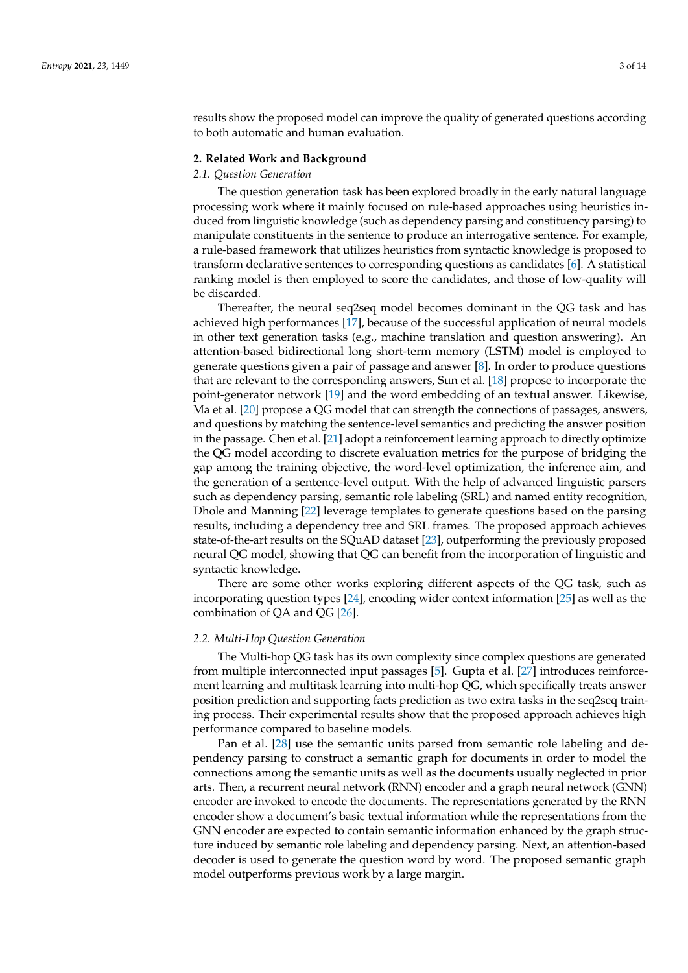results show the proposed model can improve the quality of generated questions according to both automatic and human evaluation.

# **2. Related Work and Background**

#### *2.1. Question Generation*

The question generation task has been explored broadly in the early natural language processing work where it mainly focused on rule-based approaches using heuristics induced from linguistic knowledge (such as dependency parsing and constituency parsing) to manipulate constituents in the sentence to produce an interrogative sentence. For example, a rule-based framework that utilizes heuristics from syntactic knowledge is proposed to transform declarative sentences to corresponding questions as candidates [\[6\]](#page-12-3). A statistical ranking model is then employed to score the candidates, and those of low-quality will be discarded.

Thereafter, the neural seq2seq model becomes dominant in the QG task and has achieved high performances [\[17\]](#page-12-13), because of the successful application of neural models in other text generation tasks (e.g., machine translation and question answering). An attention-based bidirectional long short-term memory (LSTM) model is employed to generate questions given a pair of passage and answer [\[8\]](#page-12-5). In order to produce questions that are relevant to the corresponding answers, Sun et al. [\[18\]](#page-12-14) propose to incorporate the point-generator network [\[19\]](#page-12-15) and the word embedding of an textual answer. Likewise, Ma et al. [\[20\]](#page-13-0) propose a QG model that can strength the connections of passages, answers, and questions by matching the sentence-level semantics and predicting the answer position in the passage. Chen et al. [\[21\]](#page-13-1) adopt a reinforcement learning approach to directly optimize the QG model according to discrete evaluation metrics for the purpose of bridging the gap among the training objective, the word-level optimization, the inference aim, and the generation of a sentence-level output. With the help of advanced linguistic parsers such as dependency parsing, semantic role labeling (SRL) and named entity recognition, Dhole and Manning [\[22\]](#page-13-2) leverage templates to generate questions based on the parsing results, including a dependency tree and SRL frames. The proposed approach achieves state-of-the-art results on the SQuAD dataset [\[23\]](#page-13-3), outperforming the previously proposed neural QG model, showing that QG can benefit from the incorporation of linguistic and syntactic knowledge.

There are some other works exploring different aspects of the QG task, such as incorporating question types [\[24\]](#page-13-4), encoding wider context information [\[25\]](#page-13-5) as well as the combination of QA and QG [\[26\]](#page-13-6).

# *2.2. Multi-Hop Question Generation*

The Multi-hop QG task has its own complexity since complex questions are generated from multiple interconnected input passages [\[5\]](#page-12-2). Gupta et al. [\[27\]](#page-13-7) introduces reinforcement learning and multitask learning into multi-hop QG, which specifically treats answer position prediction and supporting facts prediction as two extra tasks in the seq2seq training process. Their experimental results show that the proposed approach achieves high performance compared to baseline models.

Pan et al. [\[28\]](#page-13-8) use the semantic units parsed from semantic role labeling and dependency parsing to construct a semantic graph for documents in order to model the connections among the semantic units as well as the documents usually neglected in prior arts. Then, a recurrent neural network (RNN) encoder and a graph neural network (GNN) encoder are invoked to encode the documents. The representations generated by the RNN encoder show a document's basic textual information while the representations from the GNN encoder are expected to contain semantic information enhanced by the graph structure induced by semantic role labeling and dependency parsing. Next, an attention-based decoder is used to generate the question word by word. The proposed semantic graph model outperforms previous work by a large margin.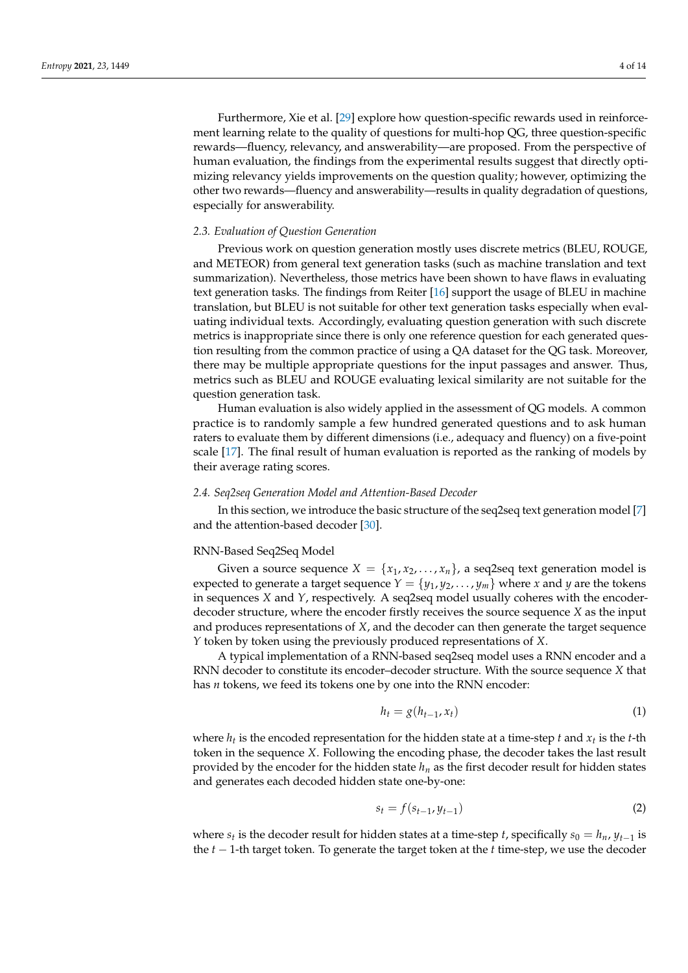Furthermore, Xie et al. [\[29\]](#page-13-9) explore how question-specific rewards used in reinforcement learning relate to the quality of questions for multi-hop QG, three question-specific rewards—fluency, relevancy, and answerability—are proposed. From the perspective of human evaluation, the findings from the experimental results suggest that directly optimizing relevancy yields improvements on the question quality; however, optimizing the other two rewards—fluency and answerability—results in quality degradation of questions, especially for answerability.

#### *2.3. Evaluation of Question Generation*

Previous work on question generation mostly uses discrete metrics (BLEU, ROUGE, and METEOR) from general text generation tasks (such as machine translation and text summarization). Nevertheless, those metrics have been shown to have flaws in evaluating text generation tasks. The findings from Reiter [\[16\]](#page-12-12) support the usage of BLEU in machine translation, but BLEU is not suitable for other text generation tasks especially when evaluating individual texts. Accordingly, evaluating question generation with such discrete metrics is inappropriate since there is only one reference question for each generated question resulting from the common practice of using a QA dataset for the QG task. Moreover, there may be multiple appropriate questions for the input passages and answer. Thus, metrics such as BLEU and ROUGE evaluating lexical similarity are not suitable for the question generation task.

Human evaluation is also widely applied in the assessment of QG models. A common practice is to randomly sample a few hundred generated questions and to ask human raters to evaluate them by different dimensions (i.e., adequacy and fluency) on a five-point scale [\[17\]](#page-12-13). The final result of human evaluation is reported as the ranking of models by their average rating scores.

#### *2.4. Seq2seq Generation Model and Attention-Based Decoder*

In this section, we introduce the basic structure of the seq2seq text generation model [\[7\]](#page-12-4) and the attention-based decoder [\[30\]](#page-13-10).

#### RNN-Based Seq2Seq Model

Given a source sequence  $X = \{x_1, x_2, \ldots, x_n\}$ , a seq2seq text generation model is expected to generate a target sequence  $Y = \{y_1, y_2, \ldots, y_m\}$  where *x* and *y* are the tokens in sequences *X* and *Y*, respectively. A seq2seq model usually coheres with the encoderdecoder structure, where the encoder firstly receives the source sequence *X* as the input and produces representations of *X*, and the decoder can then generate the target sequence *Y* token by token using the previously produced representations of *X*.

A typical implementation of a RNN-based seq2seq model uses a RNN encoder and a RNN decoder to constitute its encoder–decoder structure. With the source sequence *X* that has *n* tokens, we feed its tokens one by one into the RNN encoder:

$$
h_t = g(h_{t-1}, x_t) \tag{1}
$$

where  $h_t$  is the encoded representation for the hidden state at a time-step  $t$  and  $x_t$  is the  $t$ -th token in the sequence *X*. Following the encoding phase, the decoder takes the last result provided by the encoder for the hidden state *h<sup>n</sup>* as the first decoder result for hidden states and generates each decoded hidden state one-by-one:

<span id="page-3-0"></span>
$$
s_t = f(s_{t-1}, y_{t-1})
$$
\n<sup>(2)</sup>

where  $s_t$  is the decoder result for hidden states at a time-step *t*, specifically  $s_0 = h_n$ ,  $y_{t-1}$  is the *t* − 1-th target token. To generate the target token at the *t* time-step, we use the decoder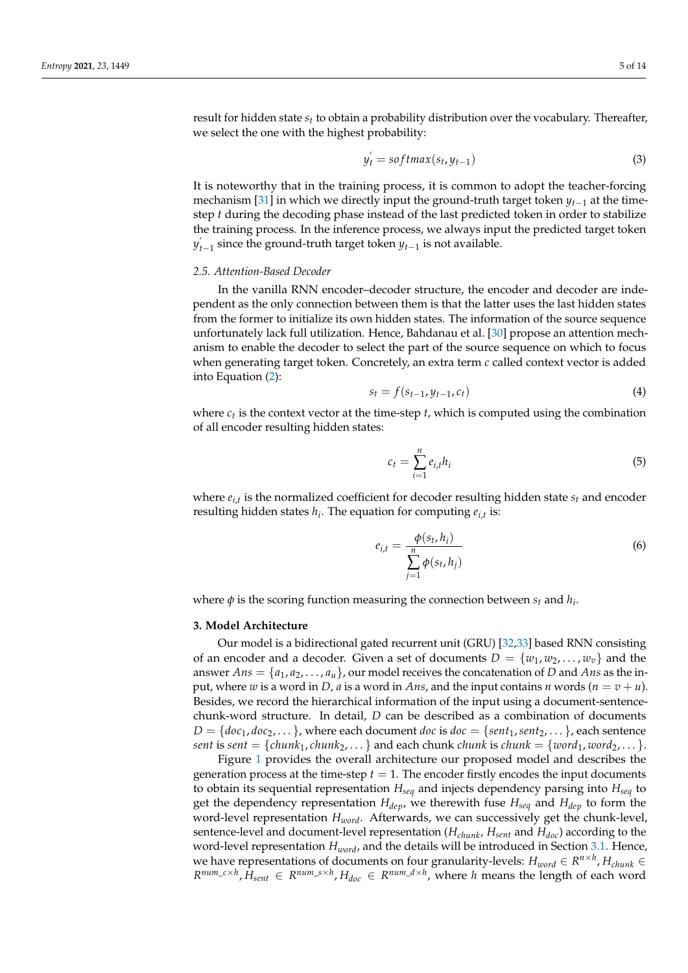result for hidden state *s<sup>t</sup>* to obtain a probability distribution over the vocabulary. Thereafter, we select the one with the highest probability:

$$
y_t' = softmax(s_t, y_{t-1})
$$
\n(3)

It is noteworthy that in the training process, it is common to adopt the teacher-forcing mechanism [\[31\]](#page-13-11) in which we directly input the ground-truth target token  $y_{t-1}$  at the timestep *t* during the decoding phase instead of the last predicted token in order to stabilize the training process. In the inference process, we always input the predicted target token *y*<sup>*t*</sup><sub>−1</sub> since the ground-truth target token *y*<sub>*t*−1</sub> is not available.

#### <span id="page-4-0"></span>*2.5. Attention-Based Decoder*

In the vanilla RNN encoder–decoder structure, the encoder and decoder are independent as the only connection between them is that the latter uses the last hidden states from the former to initialize its own hidden states. The information of the source sequence unfortunately lack full utilization. Hence, Bahdanau et al. [\[30\]](#page-13-10) propose an attention mechanism to enable the decoder to select the part of the source sequence on which to focus when generating target token. Concretely, an extra term *c* called context vector is added into Equation [\(2\)](#page-3-0):

<span id="page-4-1"></span>
$$
s_t = f(s_{t-1}, y_{t-1}, c_t) \tag{4}
$$

where  $c_t$  is the context vector at the time-step *t*, which is computed using the combination of all encoder resulting hidden states:

$$
c_t = \sum_{i=1}^n e_{i,t} h_i \tag{5}
$$

where *ei*,*<sup>t</sup>* is the normalized coefficient for decoder resulting hidden state *s<sup>t</sup>* and encoder resulting hidden states *h<sup>i</sup>* . The equation for computing *ei*,*<sup>t</sup>* is:

<span id="page-4-2"></span>
$$
e_{i,t} = \frac{\phi(s_t, h_i)}{\sum\limits_{j=1}^n \phi(s_t, h_j)}
$$
(6)

where  $\phi$  is the scoring function measuring the connection between  $s_t$  and  $h_i$ .

#### **3. Model Architecture**

Our model is a bidirectional gated recurrent unit (GRU) [\[32,](#page-13-12)[33\]](#page-13-13) based RNN consisting of an encoder and a decoder. Given a set of documents  $D = \{w_1, w_2, \dots, w_v\}$  and the answer  $Ans = \{a_1, a_2, \ldots, a_u\}$ , our model receives the concatenation of *D* and *Ans* as the input, where *w* is a word in *D*, *a* is a word in *Ans*, and the input contains *n* words  $(n = v + u)$ . Besides, we record the hierarchical information of the input using a document-sentencechunk-word structure. In detail, *D* can be described as a combination of documents  $D = \{doc_1, doc_2, \ldots\}$ , where each document *doc* is  $doc = \{sent_1, sent_2, \ldots\}$ , each sentence *sent* is *sent* = {*chunk*<sub>1</sub>, *chunk*<sub>2</sub>, . . . } and each *chunk <i>chunk* is *chunk* = {*word*<sub>1</sub>, *word*<sub>2</sub>, . . . }.

Figure [1](#page-5-0) provides the overall architecture our proposed model and describes the generation process at the time-step  $t = 1$ . The encoder firstly encodes the input documents to obtain its sequential representation *Hseq* and injects dependency parsing into *Hseq* to get the dependency representation *Hdep*, we therewith fuse *Hseq* and *Hdep* to form the word-level representation *Hword*. Afterwards, we can successively get the chunk-level, sentence-level and document-level representation (*Hchunk*, *Hsent* and *Hdoc*) according to the word-level representation *Hword*, and the details will be introduced in Section [3.1.](#page-5-1) Hence, we have representations of documents on four granularity-levels:  $H_{word} \in R^{n \times h}$ ,  $H_{chunk} \in R^{n \times h}$  $R^{num\_c \times h}$ ,  $H_{sent} \in R^{num\_s \times h}$ ,  $H_{doc} \in R^{num\_d \times h}$ , where *h* means the length of each word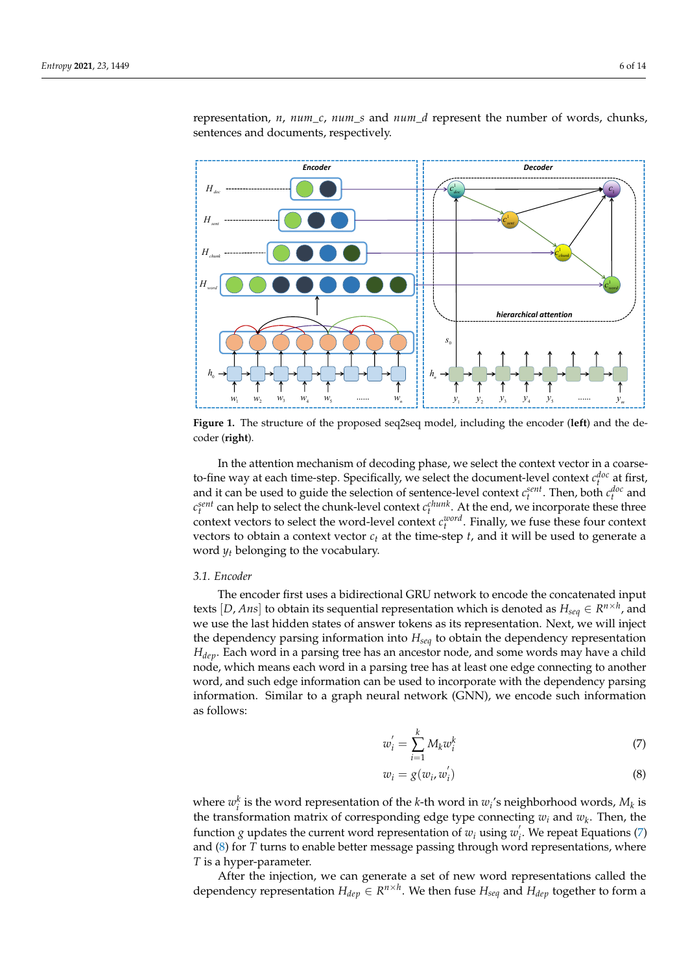<span id="page-5-0"></span>

representation, *n*, *num*\_*c*, *num*\_*s* and *num*\_*d* represent the number of words, chunks, sentences and documents, respectively.

**Figure 1.** The structure of the proposed seq2seq model, including the encoder (**left**) and the decoder (**right**).

In the attention mechanism of decoding phase, we select the context vector in a coarseto-fine way at each time-step. Specifically, we select the document-level context  $c_t^{doc}$  at first, and it can be used to guide the selection of sentence-level context  $c_t^{sent}$ . Then, both  $c_t^{doc}$  and  $c_t^{sent}$  can help to select the chunk-level context  $c_t^{chunk}$ . At the end, we incorporate these three context vectors to select the word-level context  $c_t^{word}$ . Finally, we fuse these four context vectors to obtain a context vector  $c_t$  at the time-step  $t$ , and it will be used to generate a word  $y_t$  belonging to the vocabulary.

#### <span id="page-5-1"></span>*3.1. Encoder*

The encoder first uses a bidirectional GRU network to encode the concatenated input texts  $[D, Ans]$  to obtain its sequential representation which is denoted as  $H_{seq} \in R^{n \times h}$ , and we use the last hidden states of answer tokens as its representation. Next, we will inject the dependency parsing information into *Hseq* to obtain the dependency representation *Hdep*. Each word in a parsing tree has an ancestor node, and some words may have a child node, which means each word in a parsing tree has at least one edge connecting to another word, and such edge information can be used to incorporate with the dependency parsing information. Similar to a graph neural network (GNN), we encode such information as follows:

<span id="page-5-2"></span>
$$
w_i' = \sum_{i=1}^k M_k w_i^k \tag{7}
$$

<span id="page-5-3"></span>
$$
w_i = g(w_i, w'_i) \tag{8}
$$

where  $w_i^k$  is the word representation of the *k*-th word in  $w_i$ 's neighborhood words,  $M_k$  is the transformation matrix of corresponding edge type connecting *w<sup>i</sup>* and *w<sup>k</sup>* . Then, the function *g* updates the current word representation of  $w_i$  using  $w_i$ *i* . We repeat Equations [\(7\)](#page-5-2) and [\(8\)](#page-5-3) for *T* turns to enable better message passing through word representations, where *T* is a hyper-parameter.

After the injection, we can generate a set of new word representations called the dependency representation  $H_{dep} \in R^{n \times h}$ . We then fuse  $H_{seq}$  and  $H_{dep}$  together to form a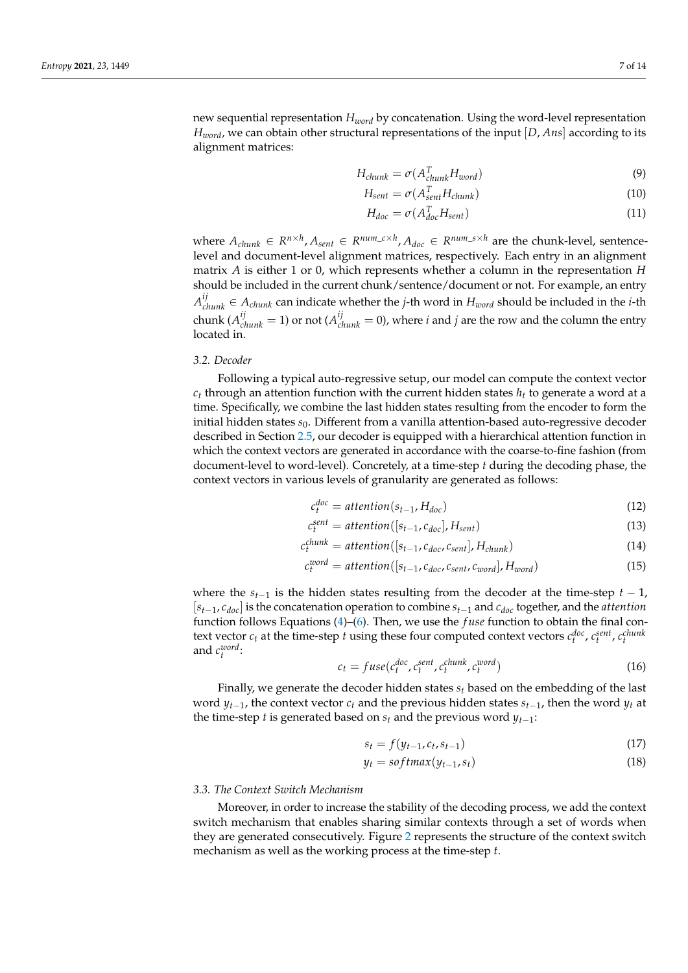new sequential representation *Hword* by concatenation. Using the word-level representation *Hword*, we can obtain other structural representations of the input [*D*, *Ans*] according to its alignment matrices:

$$
H_{chunk} = \sigma(A_{chunk}^T H_{word})
$$
\n(9)

$$
H_{sent} = \sigma(A_{sent}^T H_{chunk})
$$
\n(10)

$$
H_{doc} = \sigma(A_{doc}^T H_{sent})
$$
\n(11)

 $\mathbf{a}_{\text{chunk}} \in \mathbb{R}^{n \times h}, A_{\text{sent}} \in \mathbb{R}^{num\_c \times h}, A_{\text{doc}} \in \mathbb{R}^{num\_s \times h}$  are the chunk-level, sentencelevel and document-level alignment matrices, respectively. Each entry in an alignment matrix *A* is either 1 or 0, which represents whether a column in the representation *H* should be included in the current chunk/sentence/document or not. For example, an entry  $A_{chunk}^{ij} \in A_{chunk}$  can indicate whether the *j*-th word in  $H_{word}$  should be included in the *i*-th chunk ( $A_{chunk}^{ij} = 1$ ) or not ( $A_{chunk}^{ij} = 0$ ), where *i* and *j* are the row and the column the entry located in.

# *3.2. Decoder*

Following a typical auto-regressive setup, our model can compute the context vector *c<sup>t</sup>* through an attention function with the current hidden states *h<sup>t</sup>* to generate a word at a time. Specifically, we combine the last hidden states resulting from the encoder to form the initial hidden states  $s_0$ . Different from a vanilla attention-based auto-regressive decoder described in Section [2.5,](#page-4-0) our decoder is equipped with a hierarchical attention function in which the context vectors are generated in accordance with the coarse-to-fine fashion (from document-level to word-level). Concretely, at a time-step *t* during the decoding phase, the context vectors in various levels of granularity are generated as follows:

$$
c_t^{doc} = attention(s_{t-1}, H_{doc})
$$
\n(12)

$$
c_t^{sent} = attention([s_{t-1}, c_{doc}], H_{sent})
$$
\n(13)

$$
c_t^{chunk} = attention([s_{t-1}, c_{doc}, c_{sent}], H_{chunk})
$$
\n(14)

$$
c_t^{word} = attention([s_{t-1}, c_{doc}, c_{sent}, c_{word}], H_{word})
$$
\n(15)

where the  $s_{t-1}$  is the hidden states resulting from the decoder at the time-step  $t-1$ , [*st*−1, *cdoc*] is the concatenation operation to combine *st*−<sup>1</sup> and *cdoc* together, and the *attention* function follows Equations [\(4\)](#page-4-1)–[\(6\)](#page-4-2). Then, we use the *f use* function to obtain the final context vector  $c_t$  at the time-step *t* using these four computed context vectors  $c_t^{doc}$ ,  $c_t^{sent}$ ,  $c_t^{chunk}$ and *c word t* :

$$
c_t = fuse(c_t^{doc}, c_t^{sent}, c_t^{chunk}, c_t^{word})
$$
\n(16)

Finally, we generate the decoder hidden states *s<sup>t</sup>* based on the embedding of the last word  $y_{t-1}$ , the context vector  $c_t$  and the previous hidden states  $s_{t-1}$ , then the word  $y_t$  at the time-step *t* is generated based on  $s_t$  and the previous word  $y_{t-1}$ :

<span id="page-6-0"></span>
$$
s_t = f(y_{t-1}, c_t, s_{t-1})
$$
\n(17)

$$
y_t = softmax(y_{t-1}, s_t)
$$
\n(18)

#### *3.3. The Context Switch Mechanism*

Moreover, in order to increase the stability of the decoding process, we add the context switch mechanism that enables sharing similar contexts through a set of words when they are generated consecutively. Figure [2](#page-7-0) represents the structure of the context switch mechanism as well as the working process at the time-step *t*.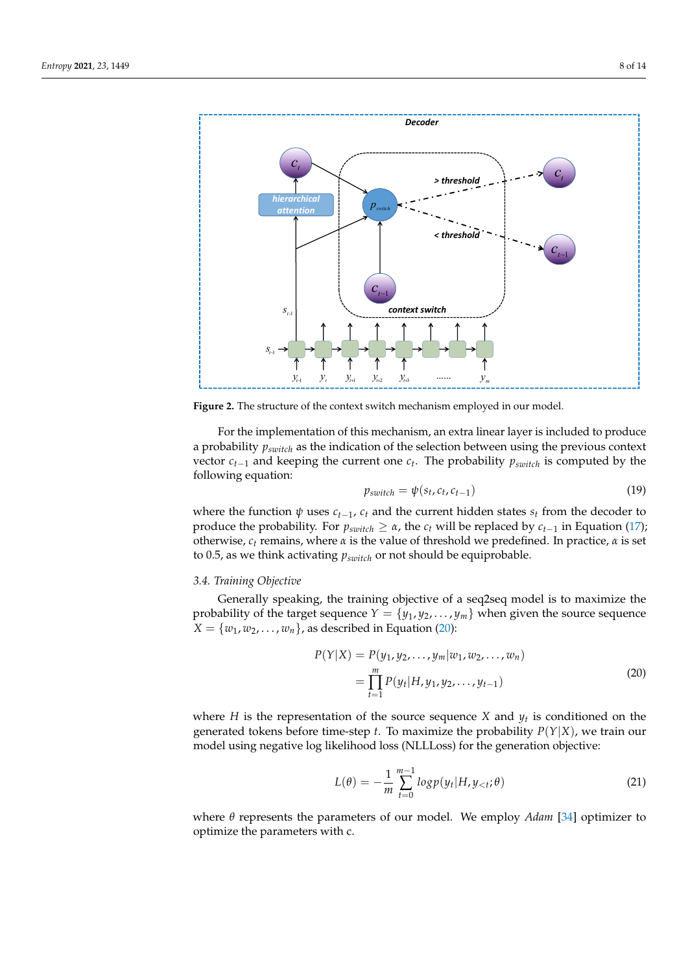<span id="page-7-0"></span>

**Figure 2.** The structure of the context switch mechanism employed in our model.

For the implementation of this mechanism, an extra linear layer is included to produce a probability *pswitch* as the indication of the selection between using the previous context vector *ct*−<sup>1</sup> and keeping the current one *c<sup>t</sup>* . The probability *pswitch* is computed by the following equation:

$$
p_{switch} = \psi(s_t, c_t, c_{t-1})
$$
\n(19)

where the function  $\psi$  uses  $c_{t-1}$ ,  $c_t$  and the current hidden states  $s_t$  from the decoder to produce the probability. For  $p_{switch} \geq \alpha$ , the  $c_t$  will be replaced by  $c_{t-1}$  in Equation [\(17\)](#page-6-0); otherwise,  $c_t$  remains, where *α* is the value of threshold we predefined. In practice, *α* is set to 0.5, as we think activating *pswitch* or not should be equiprobable.

## *3.4. Training Objective*

Generally speaking, the training objective of a seq2seq model is to maximize the probability of the target sequence  $Y = \{y_1, y_2, \ldots, y_m\}$  when given the source sequence  $X = \{w_1, w_2, \ldots, w_n\}$ , as described in Equation [\(20\)](#page-7-1):

$$
P(Y|X) = P(y_1, y_2, \dots, y_m | w_1, w_2, \dots, w_n)
$$
  
= 
$$
\prod_{t=1}^{m} P(y_t | H, y_1, y_2, \dots, y_{t-1})
$$
 (20)

<span id="page-7-1"></span>where *H* is the representation of the source sequence *X* and *y<sup>t</sup>* is conditioned on the generated tokens before time-step *t*. To maximize the probability  $P(Y|X)$ , we train our model using negative log likelihood loss (NLLLoss) for the generation objective:

$$
L(\theta) = -\frac{1}{m} \sum_{t=0}^{m-1} log p(y_t | H, y_{< t}; \theta)
$$
\n(21)

where *θ* represents the parameters of our model. We employ *Adam* [\[34\]](#page-13-14) optimizer to optimize the parameters with c.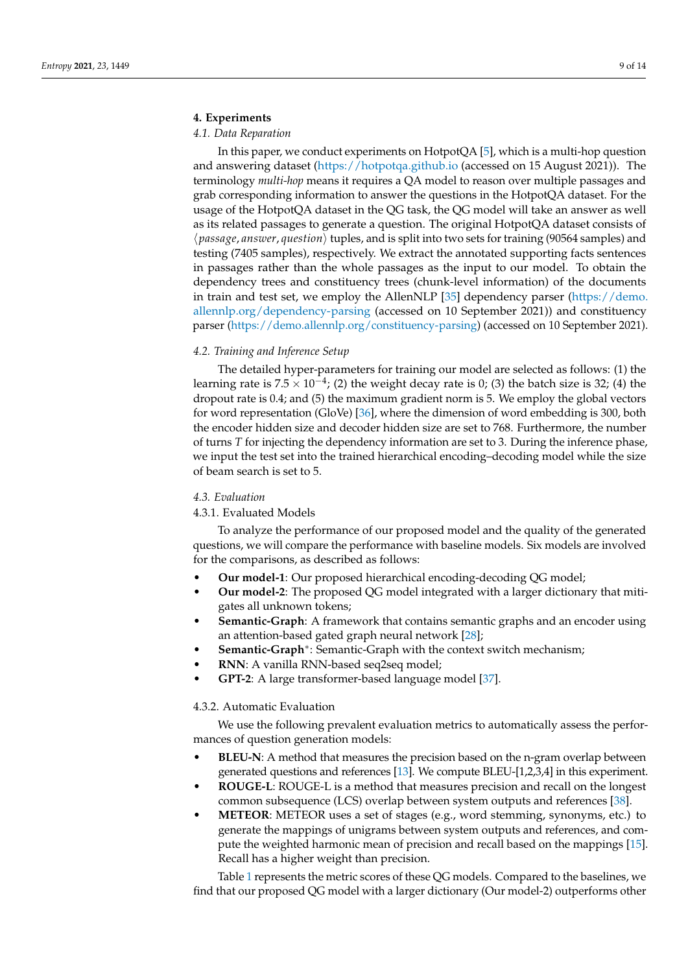# **4. Experiments**

# *4.1. Data Reparation*

In this paper, we conduct experiments on HotpotQA [\[5\]](#page-12-2), which is a multi-hop question and answering dataset [\(https://hotpotqa.github.io](https://hotpotqa.github.io) (accessed on 15 August 2021)). The terminology *multi-hop* means it requires a QA model to reason over multiple passages and grab corresponding information to answer the questions in the HotpotQA dataset. For the usage of the HotpotQA dataset in the QG task, the QG model will take an answer as well as its related passages to generate a question. The original HotpotQA dataset consists of  $\langle$  *passage*, *answer*, *question* $\rangle$  tuples, and is split into two sets for training (90564 samples) and testing (7405 samples), respectively. We extract the annotated supporting facts sentences in passages rather than the whole passages as the input to our model. To obtain the dependency trees and constituency trees (chunk-level information) of the documents in train and test set, we employ the AllenNLP [\[35\]](#page-13-15) dependency parser [\(https://demo.](https://demo.allennlp.org/dependency-parsing) [allennlp.org/dependency-parsing](https://demo.allennlp.org/dependency-parsing) (accessed on 10 September 2021)) and constituency parser [\(https://demo.allennlp.org/constituency-parsing\)](https://demo.allennlp.org/constituency-parsing) (accessed on 10 September 2021).

# *4.2. Training and Inference Setup*

The detailed hyper-parameters for training our model are selected as follows: (1) the learning rate is 7.5  $\times$  10<sup>-4</sup>; (2) the weight decay rate is 0; (3) the batch size is 32; (4) the dropout rate is 0.4; and (5) the maximum gradient norm is 5. We employ the global vectors for word representation (GloVe) [\[36\]](#page-13-16), where the dimension of word embedding is 300, both the encoder hidden size and decoder hidden size are set to 768. Furthermore, the number of turns *T* for injecting the dependency information are set to 3. During the inference phase, we input the test set into the trained hierarchical encoding–decoding model while the size of beam search is set to 5.

# *4.3. Evaluation*

# 4.3.1. Evaluated Models

To analyze the performance of our proposed model and the quality of the generated questions, we will compare the performance with baseline models. Six models are involved for the comparisons, as described as follows:

- **Our model-1**: Our proposed hierarchical encoding-decoding QG model;
- **Our model-2**: The proposed QG model integrated with a larger dictionary that mitigates all unknown tokens;
- **Semantic-Graph**: A framework that contains semantic graphs and an encoder using an attention-based gated graph neural network [\[28\]](#page-13-8);
- **Semantic-Graph**<sup>∗</sup> : Semantic-Graph with the context switch mechanism;
- **RNN**: A vanilla RNN-based seq2seq model;
- **GPT-2**: A large transformer-based language model [\[37\]](#page-13-17).

# 4.3.2. Automatic Evaluation

We use the following prevalent evaluation metrics to automatically assess the performances of question generation models:

- **BLEU-N**: A method that measures the precision based on the n-gram overlap between generated questions and references [\[13\]](#page-12-9). We compute BLEU-[1,2,3,4] in this experiment.
- **ROUGE-L**: ROUGE-L is a method that measures precision and recall on the longest common subsequence (LCS) overlap between system outputs and references [\[38\]](#page-13-18).
- **METEOR**: METEOR uses a set of stages (e.g., word stemming, synonyms, etc.) to generate the mappings of unigrams between system outputs and references, and compute the weighted harmonic mean of precision and recall based on the mappings [\[15\]](#page-12-11). Recall has a higher weight than precision.

Table [1](#page-9-0) represents the metric scores of these QG models. Compared to the baselines, we find that our proposed QG model with a larger dictionary (Our model-2) outperforms other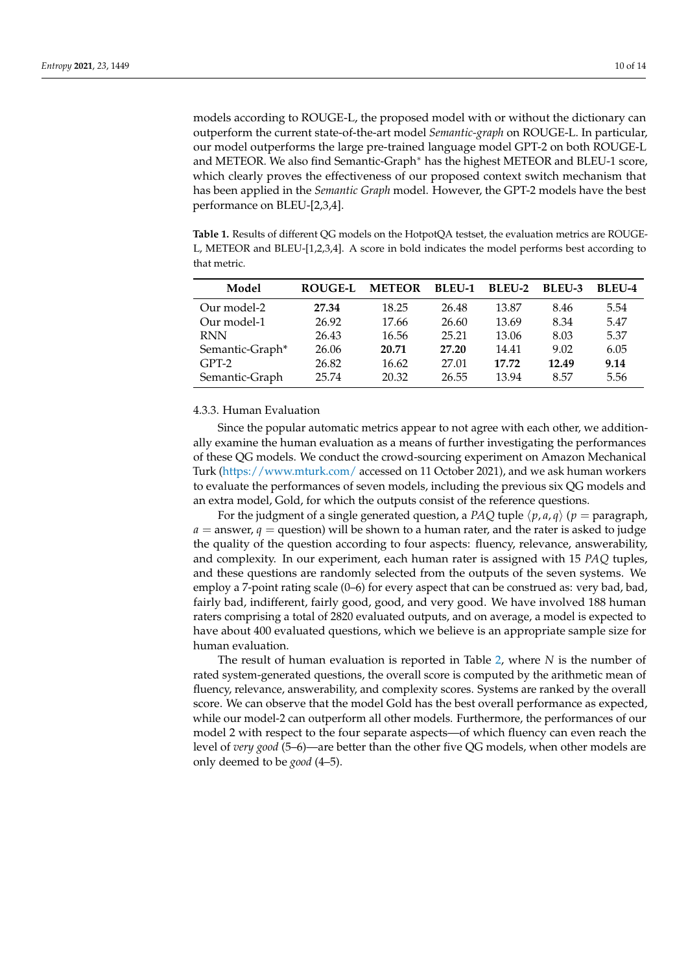models according to ROUGE-L, the proposed model with or without the dictionary can outperform the current state-of-the-art model *Semantic-graph* on ROUGE-L. In particular, our model outperforms the large pre-trained language model GPT-2 on both ROUGE-L and METEOR. We also find Semantic-Graph<sup>∗</sup> has the highest METEOR and BLEU-1 score, which clearly proves the effectiveness of our proposed context switch mechanism that has been applied in the *Semantic Graph* model. However, the GPT-2 models have the best performance on BLEU-[2,3,4].

<span id="page-9-0"></span>**Table 1.** Results of different QG models on the HotpotQA testset, the evaluation metrics are ROUGE-L, METEOR and BLEU-[1,2,3,4]. A score in bold indicates the model performs best according to that metric.

| Model           | <b>ROUGE-L</b> | <b>METEOR</b> | <b>BLEU-1</b> | BLEU-2 | BLEU-3 | BLEU-4 |
|-----------------|----------------|---------------|---------------|--------|--------|--------|
| Our model-2     | 27.34          | 18.25         | 26.48         | 13.87  | 8.46   | 5.54   |
| Our model-1     | 26.92          | 17.66         | 26.60         | 13.69  | 8.34   | 5.47   |
| <b>RNN</b>      | 26.43          | 16.56         | 25.21         | 13.06  | 8.03   | 5.37   |
| Semantic-Graph* | 26.06          | 20.71         | 27.20         | 14.41  | 9.02   | 6.05   |
| $GPT-2$         | 26.82          | 16.62         | 27.01         | 17.72  | 12.49  | 9.14   |
| Semantic-Graph  | 25.74          | 20.32         | 26.55         | 13.94  | 8.57   | 5.56   |

# 4.3.3. Human Evaluation

Since the popular automatic metrics appear to not agree with each other, we additionally examine the human evaluation as a means of further investigating the performances of these QG models. We conduct the crowd-sourcing experiment on Amazon Mechanical Turk [\(https://www.mturk.com/](https://www.mturk.com/) accessed on 11 October 2021), and we ask human workers to evaluate the performances of seven models, including the previous six QG models and an extra model, Gold, for which the outputs consist of the reference questions.

For the judgment of a single generated question, a *PAQ* tuple  $\langle p, a, q \rangle$  ( $p =$  paragraph,  $a =$  answer,  $q =$  question) will be shown to a human rater, and the rater is asked to judge the quality of the question according to four aspects: fluency, relevance, answerability, and complexity. In our experiment, each human rater is assigned with 15 *PAQ* tuples, and these questions are randomly selected from the outputs of the seven systems. We employ a 7-point rating scale (0–6) for every aspect that can be construed as: very bad, bad, fairly bad, indifferent, fairly good, good, and very good. We have involved 188 human raters comprising a total of 2820 evaluated outputs, and on average, a model is expected to have about 400 evaluated questions, which we believe is an appropriate sample size for human evaluation.

The result of human evaluation is reported in Table [2,](#page-10-0) where *N* is the number of rated system-generated questions, the overall score is computed by the arithmetic mean of fluency, relevance, answerability, and complexity scores. Systems are ranked by the overall score. We can observe that the model Gold has the best overall performance as expected, while our model-2 can outperform all other models. Furthermore, the performances of our model 2 with respect to the four separate aspects—of which fluency can even reach the level of *very good* (5–6)—are better than the other five QG models, when other models are only deemed to be *good* (4–5).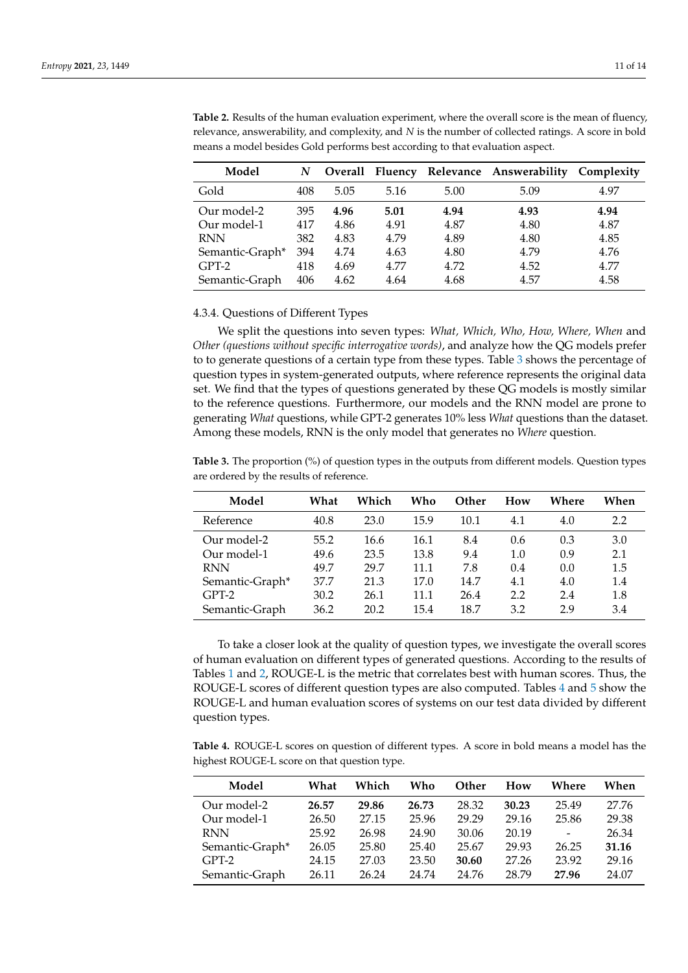| Model           | N   |      |      |      | Overall Fluency Relevance Answerability Complexity |      |
|-----------------|-----|------|------|------|----------------------------------------------------|------|
| Gold            | 408 | 5.05 | 5.16 | 5.00 | 5.09                                               | 4.97 |
| Our model-2     | 395 | 4.96 | 5.01 | 4.94 | 4.93                                               | 4.94 |
| Our model-1     | 417 | 4.86 | 4.91 | 4.87 | 4.80                                               | 4.87 |
| <b>RNN</b>      | 382 | 4.83 | 4.79 | 4.89 | 4.80                                               | 4.85 |
| Semantic-Graph* | 394 | 4.74 | 4.63 | 4.80 | 4.79                                               | 4.76 |
| $GPT-2$         | 418 | 4.69 | 4.77 | 4.72 | 4.52                                               | 4.77 |
| Semantic-Graph  | 406 | 4.62 | 4.64 | 4.68 | 4.57                                               | 4.58 |

<span id="page-10-0"></span>**Table 2.** Results of the human evaluation experiment, where the overall score is the mean of fluency, relevance, answerability, and complexity, and *N* is the number of collected ratings. A score in bold means a model besides Gold performs best according to that evaluation aspect.

#### 4.3.4. Questions of Different Types

We split the questions into seven types: *What, Which, Who, How, Where, When* and *Other (questions without specific interrogative words)*, and analyze how the QG models prefer to to generate questions of a certain type from these types. Table [3](#page-10-1) shows the percentage of question types in system-generated outputs, where reference represents the original data set. We find that the types of questions generated by these QG models is mostly similar to the reference questions. Furthermore, our models and the RNN model are prone to generating *What* questions, while GPT-2 generates 10% less *What* questions than the dataset. Among these models, RNN is the only model that generates no *Where* question.

<span id="page-10-1"></span>**Table 3.** The proportion (%) of question types in the outputs from different models. Question types are ordered by the results of reference.

| Model           | What | Which | Who  | Other | How | Where | When |
|-----------------|------|-------|------|-------|-----|-------|------|
| Reference       | 40.8 | 23.0  | 15.9 | 10.1  | 4.1 | 4.0   | 2.2  |
| Our model-2     | 55.2 | 16.6  | 16.1 | 8.4   | 0.6 | 0.3   | 3.0  |
| Our model-1     | 49.6 | 23.5  | 13.8 | 9.4   | 1.0 | 0.9   | 2.1  |
| <b>RNN</b>      | 49.7 | 29.7  | 11.1 | 7.8   | 0.4 | 0.0   | 1.5  |
| Semantic-Graph* | 37.7 | 21.3  | 17.0 | 14.7  | 4.1 | 4.0   | 1.4  |
| $GPT-2$         | 30.2 | 26.1  | 11.1 | 26.4  | 2.2 | 2.4   | 1.8  |
| Semantic-Graph  | 36.2 | 20.2  | 15.4 | 18.7  | 3.2 | 2.9   | 3.4  |

To take a closer look at the quality of question types, we investigate the overall scores of human evaluation on different types of generated questions. According to the results of Tables [1](#page-9-0) and [2,](#page-10-0) ROUGE-L is the metric that correlates best with human scores. Thus, the ROUGE-L scores of different question types are also computed. Tables [4](#page-10-2) and [5](#page-11-0) show the ROUGE-L and human evaluation scores of systems on our test data divided by different question types.

<span id="page-10-2"></span>**Table 4.** ROUGE-L scores on question of different types. A score in bold means a model has the highest ROUGE-L score on that question type.

| Model           | What  | Which | Who   | Other | How   | Where          | When  |
|-----------------|-------|-------|-------|-------|-------|----------------|-------|
| Our model-2     | 26.57 | 29.86 | 26.73 | 28.32 | 30.23 | 25.49          | 27.76 |
| Our model-1     | 26.50 | 27.15 | 25.96 | 29.29 | 29.16 | 25.86          | 29.38 |
| <b>RNN</b>      | 25.92 | 26.98 | 24.90 | 30.06 | 20.19 | $\overline{a}$ | 26.34 |
| Semantic-Graph* | 26.05 | 25.80 | 25.40 | 25.67 | 29.93 | 26.25          | 31.16 |
| $GPT-2$         | 24.15 | 27.03 | 23.50 | 30.60 | 27.26 | 23.92          | 29.16 |
| Semantic-Graph  | 26.11 | 26.24 | 24.74 | 24.76 | 28.79 | 27.96          | 24.07 |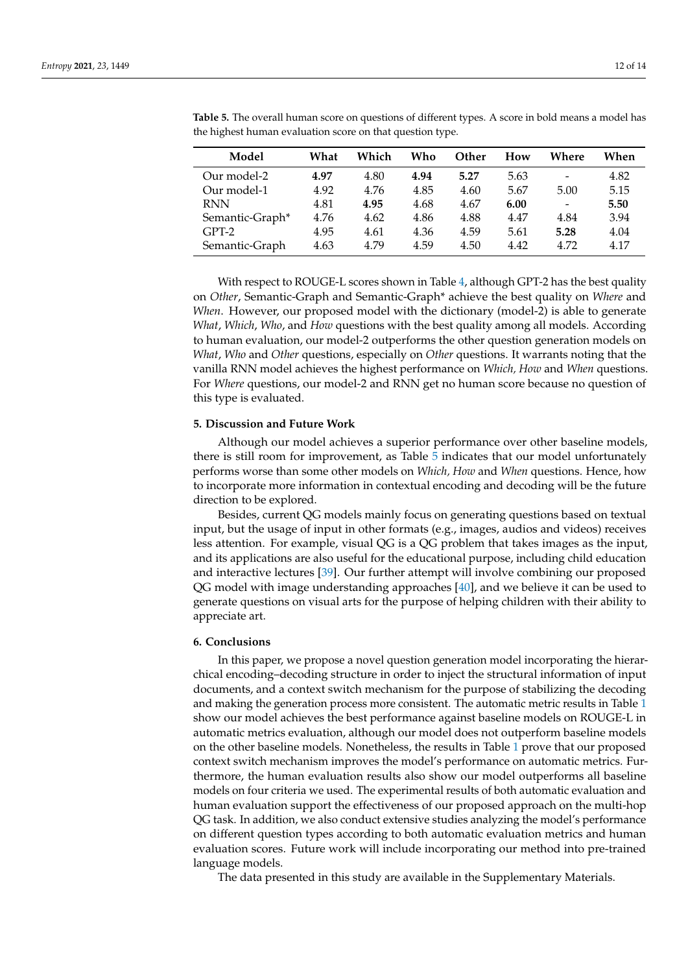| Model           | What | Which | Who  | <b>Other</b> | How  | Where                    | When |
|-----------------|------|-------|------|--------------|------|--------------------------|------|
| Our model-2     | 4.97 | 4.80  | 4.94 | 5.27         | 5.63 | $\overline{\phantom{a}}$ | 4.82 |
| Our model-1     | 4.92 | 4.76  | 4.85 | 4.60         | 5.67 | 5.00                     | 5.15 |
| <b>RNN</b>      | 4.81 | 4.95  | 4.68 | 4.67         | 6.00 | $\overline{\phantom{a}}$ | 5.50 |
| Semantic-Graph* | 4.76 | 4.62  | 4.86 | 4.88         | 4.47 | 4.84                     | 3.94 |
| $GPT-2$         | 4.95 | 4.61  | 4.36 | 4.59         | 5.61 | 5.28                     | 4.04 |
| Semantic-Graph  | 4.63 | 4.79  | 4.59 | 4.50         | 4.42 | 4.72                     | 4.17 |

<span id="page-11-0"></span>**Table 5.** The overall human score on questions of different types. A score in bold means a model has the highest human evaluation score on that question type.

With respect to ROUGE-L scores shown in Table [4,](#page-10-2) although GPT-2 has the best quality on *Other*, Semantic-Graph and Semantic-Graph\* achieve the best quality on *Where* and *When*. However, our proposed model with the dictionary (model-2) is able to generate *What*, *Which*, *Who*, and *How* questions with the best quality among all models. According to human evaluation, our model-2 outperforms the other question generation models on *What*, *Who* and *Other* questions, especially on *Other* questions. It warrants noting that the vanilla RNN model achieves the highest performance on *Which, How* and *When* questions. For *Where* questions, our model-2 and RNN get no human score because no question of this type is evaluated.

## **5. Discussion and Future Work**

Although our model achieves a superior performance over other baseline models, there is still room for improvement, as Table [5](#page-11-0) indicates that our model unfortunately performs worse than some other models on *Which, How* and *When* questions. Hence, how to incorporate more information in contextual encoding and decoding will be the future direction to be explored.

Besides, current QG models mainly focus on generating questions based on textual input, but the usage of input in other formats (e.g., images, audios and videos) receives less attention. For example, visual QG is a QG problem that takes images as the input, and its applications are also useful for the educational purpose, including child education and interactive lectures [\[39\]](#page-13-19). Our further attempt will involve combining our proposed QG model with image understanding approaches [\[40\]](#page-13-20), and we believe it can be used to generate questions on visual arts for the purpose of helping children with their ability to appreciate art.

#### **6. Conclusions**

In this paper, we propose a novel question generation model incorporating the hierarchical encoding–decoding structure in order to inject the structural information of input documents, and a context switch mechanism for the purpose of stabilizing the decoding and making the generation process more consistent. The automatic metric results in Table [1](#page-9-0) show our model achieves the best performance against baseline models on ROUGE-L in automatic metrics evaluation, although our model does not outperform baseline models on the other baseline models. Nonetheless, the results in Table [1](#page-9-0) prove that our proposed context switch mechanism improves the model's performance on automatic metrics. Furthermore, the human evaluation results also show our model outperforms all baseline models on four criteria we used. The experimental results of both automatic evaluation and human evaluation support the effectiveness of our proposed approach on the multi-hop QG task. In addition, we also conduct extensive studies analyzing the model's performance on different question types according to both automatic evaluation metrics and human evaluation scores. Future work will include incorporating our method into pre-trained language models.

The data presented in this study are available in the Supplementary Materials.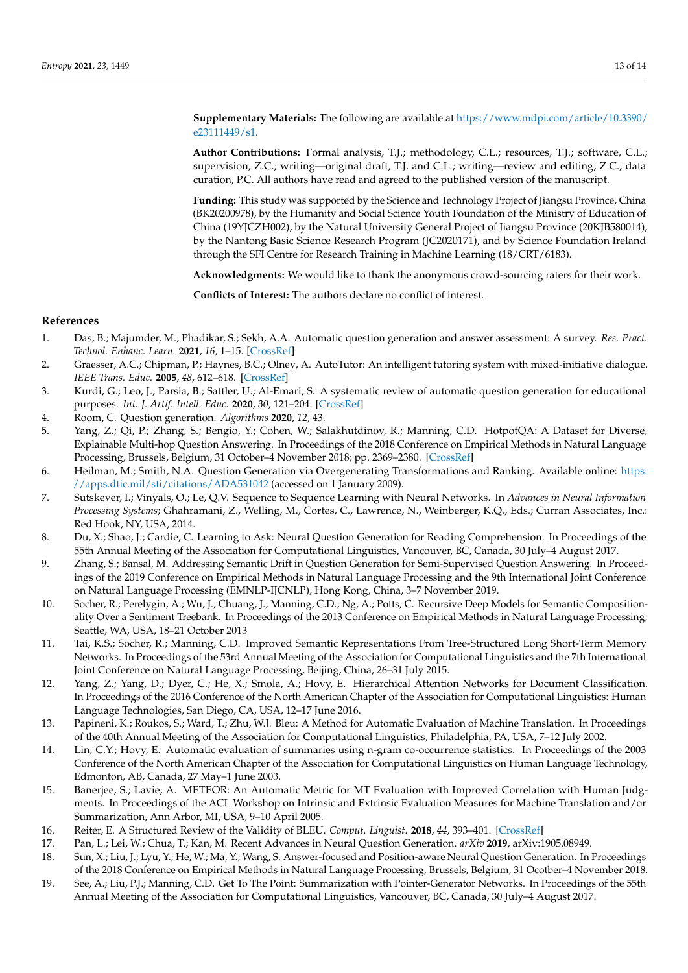**Supplementary Materials:** The following are available at [https://www.mdpi.com/article/10.3390/](https://www.mdpi.com/article/10.3390/e23111449/s1) [e23111449/s1.](https://www.mdpi.com/article/10.3390/e23111449/s1)

**Author Contributions:** Formal analysis, T.J.; methodology, C.L.; resources, T.J.; software, C.L.; supervision, Z.C.; writing—original draft, T.J. and C.L.; writing—review and editing, Z.C.; data curation, P.C. All authors have read and agreed to the published version of the manuscript.

**Funding:** This study was supported by the Science and Technology Project of Jiangsu Province, China (BK20200978), by the Humanity and Social Science Youth Foundation of the Ministry of Education of China (19YJCZH002), by the Natural University General Project of Jiangsu Province (20KJB580014), by the Nantong Basic Science Research Program (JC2020171), and by Science Foundation Ireland through the SFI Centre for Research Training in Machine Learning (18/CRT/6183).

**Acknowledgments:** We would like to thank the anonymous crowd-sourcing raters for their work.

**Conflicts of Interest:** The authors declare no conflict of interest.

# **References**

- <span id="page-12-0"></span>1. Das, B.; Majumder, M.; Phadikar, S.; Sekh, A.A. Automatic question generation and answer assessment: A survey. *Res. Pract. Technol. Enhanc. Learn.* **2021**, *16*, 1–15. [\[CrossRef\]](http://doi.org/10.1186/s41039-021-00151-1)
- 2. Graesser, A.C.; Chipman, P.; Haynes, B.C.; Olney, A. AutoTutor: An intelligent tutoring system with mixed-initiative dialogue. *IEEE Trans. Educ.* **2005**, *48*, 612–618. [\[CrossRef\]](http://dx.doi.org/10.1109/TE.2005.856149)
- 3. Kurdi, G.; Leo, J.; Parsia, B.; Sattler, U.; Al-Emari, S. A systematic review of automatic question generation for educational purposes. *Int. J. Artif. Intell. Educ.* **2020**, *30*, 121–204. [\[CrossRef\]](http://dx.doi.org/10.1007/s40593-019-00186-y)
- <span id="page-12-1"></span>4. Room, C. Question generation. *Algorithms* **2020**, *12*, 43.
- <span id="page-12-2"></span>5. Yang, Z.; Qi, P.; Zhang, S.; Bengio, Y.; Cohen, W.; Salakhutdinov, R.; Manning, C.D. HotpotQA: A Dataset for Diverse, Explainable Multi-hop Question Answering. In Proceedings of the 2018 Conference on Empirical Methods in Natural Language Processing, Brussels, Belgium, 31 October–4 November 2018; pp. 2369–2380. [\[CrossRef\]](http://dx.doi.org/10.18653/v1/D18-1259)
- <span id="page-12-3"></span>6. Heilman, M.; Smith, N.A. Question Generation via Overgenerating Transformations and Ranking. Available online: [https:](https://apps.dtic.mil/sti/citations/ADA531042) [//apps.dtic.mil/sti/citations/ADA531042](https://apps.dtic.mil/sti/citations/ADA531042) (accessed on 1 January 2009).
- <span id="page-12-4"></span>7. Sutskever, I.; Vinyals, O.; Le, Q.V. Sequence to Sequence Learning with Neural Networks. In *Advances in Neural Information Processing Systems*; Ghahramani, Z., Welling, M., Cortes, C., Lawrence, N., Weinberger, K.Q., Eds.; Curran Associates, Inc.: Red Hook, NY, USA, 2014.
- <span id="page-12-5"></span>8. Du, X.; Shao, J.; Cardie, C. Learning to Ask: Neural Question Generation for Reading Comprehension. In Proceedings of the 55th Annual Meeting of the Association for Computational Linguistics, Vancouver, BC, Canada, 30 July–4 August 2017.
- <span id="page-12-6"></span>9. Zhang, S.; Bansal, M. Addressing Semantic Drift in Question Generation for Semi-Supervised Question Answering. In Proceedings of the 2019 Conference on Empirical Methods in Natural Language Processing and the 9th International Joint Conference on Natural Language Processing (EMNLP-IJCNLP), Hong Kong, China, 3–7 November 2019.
- <span id="page-12-7"></span>10. Socher, R.; Perelygin, A.; Wu, J.; Chuang, J.; Manning, C.D.; Ng, A.; Potts, C. Recursive Deep Models for Semantic Compositionality Over a Sentiment Treebank. In Proceedings of the 2013 Conference on Empirical Methods in Natural Language Processing, Seattle, WA, USA, 18–21 October 2013
- 11. Tai, K.S.; Socher, R.; Manning, C.D. Improved Semantic Representations From Tree-Structured Long Short-Term Memory Networks. In Proceedings of the 53rd Annual Meeting of the Association for Computational Linguistics and the 7th International Joint Conference on Natural Language Processing, Beijing, China, 26–31 July 2015.
- <span id="page-12-8"></span>12. Yang, Z.; Yang, D.; Dyer, C.; He, X.; Smola, A.; Hovy, E. Hierarchical Attention Networks for Document Classification. In Proceedings of the 2016 Conference of the North American Chapter of the Association for Computational Linguistics: Human Language Technologies, San Diego, CA, USA, 12–17 June 2016.
- <span id="page-12-9"></span>13. Papineni, K.; Roukos, S.; Ward, T.; Zhu, W.J. Bleu: A Method for Automatic Evaluation of Machine Translation. In Proceedings of the 40th Annual Meeting of the Association for Computational Linguistics, Philadelphia, PA, USA, 7–12 July 2002.
- <span id="page-12-10"></span>14. Lin, C.Y.; Hovy, E. Automatic evaluation of summaries using n-gram co-occurrence statistics. In Proceedings of the 2003 Conference of the North American Chapter of the Association for Computational Linguistics on Human Language Technology, Edmonton, AB, Canada, 27 May–1 June 2003.
- <span id="page-12-11"></span>15. Banerjee, S.; Lavie, A. METEOR: An Automatic Metric for MT Evaluation with Improved Correlation with Human Judgments. In Proceedings of the ACL Workshop on Intrinsic and Extrinsic Evaluation Measures for Machine Translation and/or Summarization, Ann Arbor, MI, USA, 9–10 April 2005.
- <span id="page-12-12"></span>16. Reiter, E. A Structured Review of the Validity of BLEU. *Comput. Linguist.* **2018**, *44*, 393–401. [\[CrossRef\]](http://dx.doi.org/10.1162/coli_a_00322)
- <span id="page-12-13"></span>17. Pan, L.; Lei, W.; Chua, T.; Kan, M. Recent Advances in Neural Question Generation. *arXiv* **2019**, arXiv:1905.08949.
- <span id="page-12-14"></span>18. Sun, X.; Liu, J.; Lyu, Y.; He, W.; Ma, Y.; Wang, S. Answer-focused and Position-aware Neural Question Generation. In Proceedings of the 2018 Conference on Empirical Methods in Natural Language Processing, Brussels, Belgium, 31 Ocotber–4 November 2018.
- <span id="page-12-15"></span>19. See, A.; Liu, P.J.; Manning, C.D. Get To The Point: Summarization with Pointer-Generator Networks. In Proceedings of the 55th Annual Meeting of the Association for Computational Linguistics, Vancouver, BC, Canada, 30 July–4 August 2017.